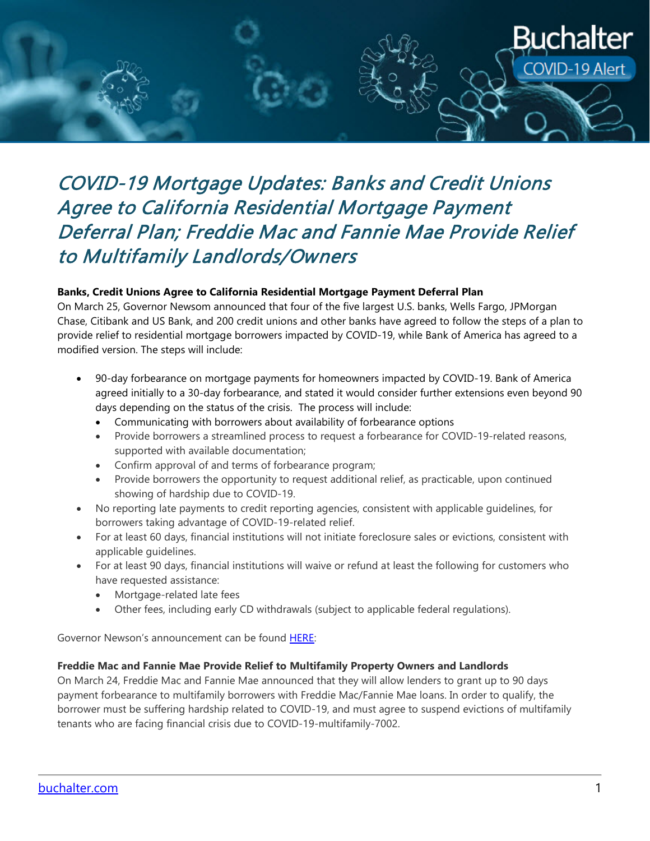

## COVID-19 Mortgage Updates: Banks and Credit Unions Agree to California Residential Mortgage Payment Deferral Plan; Freddie Mac and Fannie Mae Provide Relief to Multifamily Landlords/Owners

## **Banks, Credit Unions Agree to California Residential Mortgage Payment Deferral Plan**

On March 25, Governor Newsom announced that four of the five largest U.S. banks, Wells Fargo, JPMorgan Chase, Citibank and US Bank, and 200 credit unions and other banks have agreed to follow the steps of a plan to provide relief to residential mortgage borrowers impacted by COVID-19, while Bank of America has agreed to a modified version. The steps will include:

- 90-day forbearance on mortgage payments for homeowners impacted by COVID-19. Bank of America agreed initially to a 30-day forbearance, and stated it would consider further extensions even beyond 90 days depending on the status of the crisis. The process will include:
	- Communicating with borrowers about availability of forbearance options
	- Provide borrowers a streamlined process to request a forbearance for COVID-19-related reasons, supported with available documentation;
	- Confirm approval of and terms of forbearance program;
	- Provide borrowers the opportunity to request additional relief, as practicable, upon continued showing of hardship due to COVID-19.
- No reporting late payments to credit reporting agencies, consistent with applicable guidelines, for borrowers taking advantage of COVID-19-related relief.
- For at least 60 days, financial institutions will not initiate foreclosure sales or evictions, consistent with applicable guidelines.
- For at least 90 days, financial institutions will waive or refund at least the following for customers who have requested assistance:
	- Mortgage-related late fees
	- Other fees, including early CD withdrawals (subject to applicable federal regulations).

Governor Newson's announcement can be found [HERE:](https://www.gov.ca.gov/2020/03/25/governor-gavin-newsom-announces-major-financial-relief-package-90-day-mortgage-payment-relief-during-covid-19-crisis/)

## **Freddie Mac and Fannie Mae Provide Relief to Multifamily Property Owners and Landlords**

On March 24, Freddie Mac and Fannie Mae announced that they will allow lenders to grant up to 90 days payment forbearance to multifamily borrowers with Freddie Mac/Fannie Mae loans. In order to qualify, the borrower must be suffering hardship related to COVID-19, and must agree to suspend evictions of multifamily tenants who are facing financial crisis due to COVID-19-multifamily-7002.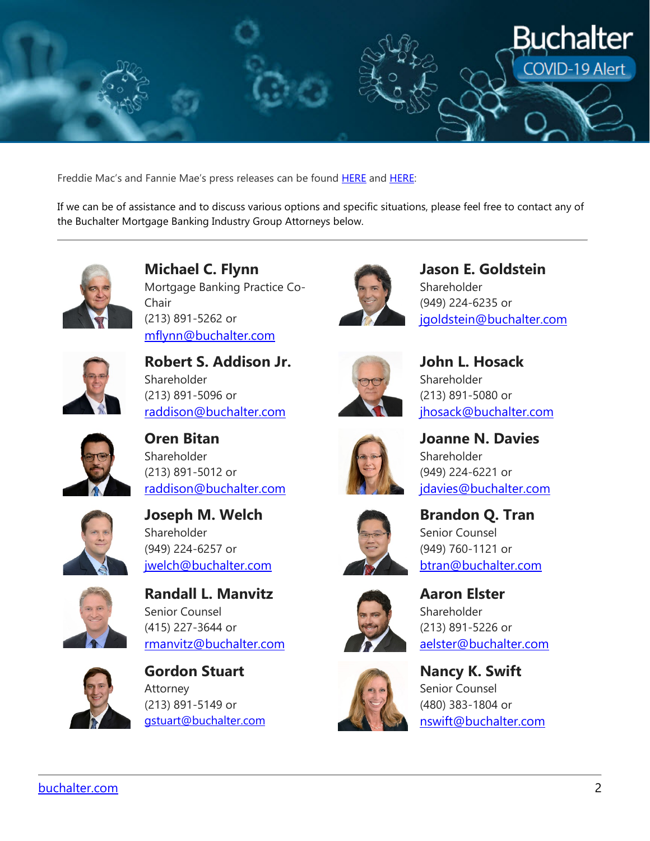

Freddie Mac's and Fannie Mae's press releases can be found [HERE](http://www.freddiemac.com/about/covid-19.html) and [HERE:](https://fanniemae,com/portal/media/corporate-news/2020/renters-covid-19-multifamliy.html)

If we can be of assistance and to discuss various options and specific situations, please feel free to contact any of the Buchalter Mortgage Banking Industry Group Attorneys below.



**Michael C. Flynn** Mortgage Banking Practice Co-Chair (213) 891-5262 or [mflynn@buchalter.com](mailto:mflynn@buchalter.com)



**Robert S. Addison Jr.** Shareholder (213) 891-5096 or [raddison@buchalter.com](mailto:raddison@buchalter.com)



**Jason E. Goldstein** Shareholder (949) 224-6235 or [jgoldstein@buchalter.com](mailto:jgoldstein@buchalter.com)



**John L. Hosack** Shareholder (213) 891-5080 or [jhosack@buchalter.com](mailto:jhosack@buchalter.com)

**Joanne N. Davies**

idavies@buchalter.com

Shareholder

(949) 224-6221 or



**Oren Bitan** Shareholder (213) 891-5012 or [raddison@buchalter.com](mailto:raddison@buchalter.com)



**Joseph M. Welch** Shareholder (949) 224-6257 or [jwelch@buchalter.com](mailto:jwelch@buchalter.com)



**Randall L. Manvitz** Senior Counsel (415) 227-3644 or [rmanvitz@buchalter.com](mailto:rmanvitz@buchalter.com)



**Gordon Stuart** Attorney (213) 891-5149 or [gstuart@buchalter.com](mailto:gstuart@buchalter.com)







**Aaron Elster** Shareholder

(213) 891-5226 or





[aelster@buchalter.com](mailto:aelster@buchalter.com) **Nancy K. Swift** Senior Counsel (480) 383-1804 or

[nswift@buchalter.com](mailto:nswift@buchalter.com)